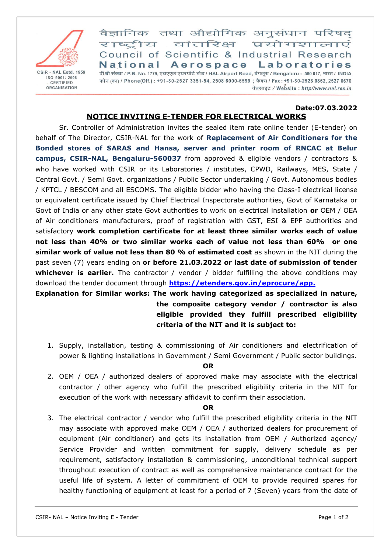

CSIR - NAL Estd. 1959 ISO 9001: 2008 CERTIFIED ORGANISATION

वैज्ञानिक तथा औद्योगिक अनुसंधान परिषद राष्टीय वांतरिक्ष प्रयोगशालाएं Council of Scientific & Industrial Research National Aerospace Laboratories पी.बी.संख्या / P.B. No. 1779, एचएएल एयरपोर्ट रोड / HAL Airport Road, बेंगलूरु / Bengaluru - 560 017, भारत / INDIA फोन (का) / Phone(Off.): +91-80-2527 3351-54, 2508 6000-6599 ; फैक्स / Fax: +91-80-2526 0862, 2527 0670 वेबसाइट / Website: http//www.nal.res.in

#### **Date:07.03.2022 NOTICE INVITING E-TENDER FOR ELECTRICAL WORKS**

Sr. Controller of Administration invites the sealed item rate online tender (E-tender) on behalf of The Director, CSIR-NAL for the work of **Replacement of Air Conditioners for the Bonded stores of SARAS and Hansa, server and printer room of RNCAC at Belur campus, CSIR-NAL, Bengaluru-560037** from approved & eligible vendors / contractors & who have worked with CSIR or its Laboratories / institutes, CPWD, Railways, MES, State / Central Govt. / Semi Govt. organizations / Public Sector undertaking / Govt. Autonomous bodies / KPTCL / BESCOM and all ESCOMS. The eligible bidder who having the Class-I electrical license or equivalent certificate issued by Chief Electrical Inspectorate authorities, Govt of Karnataka or Govt of India or any other state Govt authorities to work on electrical installation **or** OEM / OEA of Air conditioners manufacturers, proof of registration with GST, ESI & EPF authorities and satisfactory **work completion certificate for at least three similar works each of value not less than 40% or two similar works each of value not less than 60% or one similar work of value not less than 80 % of estimated cost** as shown in the NIT during the past seven (7) years ending on **or before 21.03.2022 or last date of submission of tender whichever is earlier.** The contractor / vendor / bidder fulfilling the above conditions may download the tender document through **[https://etenders.gov.in/eprocure/app.](https://etenders.gov.in/eprocure/app)**

# **Explanation for Similar works: The work having categorized as specialized in nature, the composite category vendor / contractor is also eligible provided they fulfill prescribed eligibility criteria of the NIT and it is subject to:**

1. Supply, installation, testing & commissioning of Air conditioners and electrification of power & lighting installations in Government / Semi Government / Public sector buildings.

### **OR**

2. OEM / OEA / authorized dealers of approved make may associate with the electrical contractor / other agency who fulfill the prescribed eligibility criteria in the NIT for execution of the work with necessary affidavit to confirm their association.

### **OR**

3. The electrical contractor / vendor who fulfill the prescribed eligibility criteria in the NIT may associate with approved make OEM / OEA / authorized dealers for procurement of equipment (Air conditioner) and gets its installation from OEM / Authorized agency/ Service Provider and written commitment for supply, delivery schedule as per requirement, satisfactory installation & commissioning, unconditional technical support throughout execution of contract as well as comprehensive maintenance contract for the useful life of system. A letter of commitment of OEM to provide required spares for healthy functioning of equipment at least for a period of 7 (Seven) years from the date of